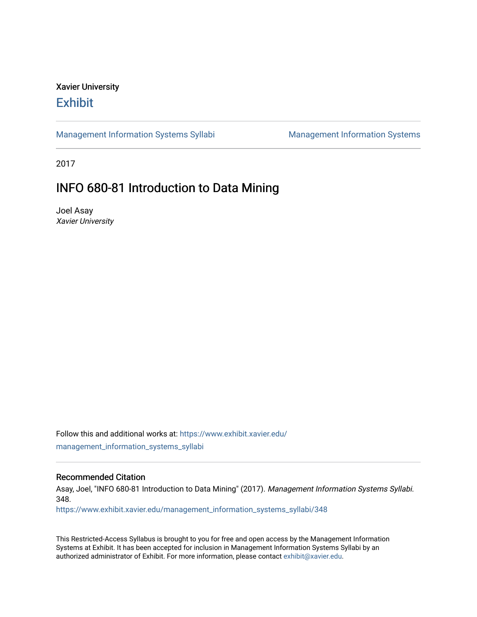## Xavier University **Exhibit**

[Management Information Systems Syllabi](https://www.exhibit.xavier.edu/management_information_systems_syllabi) Management Information Systems

2017

## INFO 680-81 Introduction to Data Mining

Joel Asay Xavier University

Follow this and additional works at: [https://www.exhibit.xavier.edu/](https://www.exhibit.xavier.edu/management_information_systems_syllabi?utm_source=www.exhibit.xavier.edu%2Fmanagement_information_systems_syllabi%2F348&utm_medium=PDF&utm_campaign=PDFCoverPages) [management\\_information\\_systems\\_syllabi](https://www.exhibit.xavier.edu/management_information_systems_syllabi?utm_source=www.exhibit.xavier.edu%2Fmanagement_information_systems_syllabi%2F348&utm_medium=PDF&utm_campaign=PDFCoverPages) 

#### Recommended Citation

Asay, Joel, "INFO 680-81 Introduction to Data Mining" (2017). Management Information Systems Syllabi. 348.

[https://www.exhibit.xavier.edu/management\\_information\\_systems\\_syllabi/348](https://www.exhibit.xavier.edu/management_information_systems_syllabi/348?utm_source=www.exhibit.xavier.edu%2Fmanagement_information_systems_syllabi%2F348&utm_medium=PDF&utm_campaign=PDFCoverPages) 

This Restricted-Access Syllabus is brought to you for free and open access by the Management Information Systems at Exhibit. It has been accepted for inclusion in Management Information Systems Syllabi by an authorized administrator of Exhibit. For more information, please contact [exhibit@xavier.edu](mailto:exhibit@xavier.edu).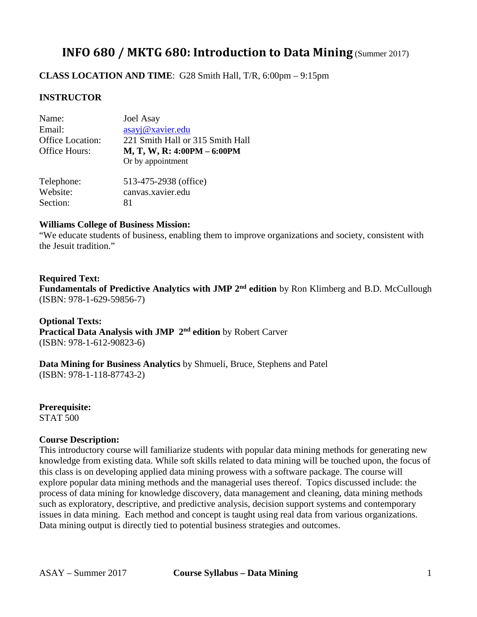# **INFO 680 / MKTG 680: Introduction to Data Mining** (Summer 2017)

**CLASS LOCATION AND TIME**: G28 Smith Hall, T/R, 6:00pm – 9:15pm

## **INSTRUCTOR**

| Name:<br>Email:                   | <b>Joel Asay</b><br>asayj@xavier.edu                                                 |
|-----------------------------------|--------------------------------------------------------------------------------------|
| Office Location:<br>Office Hours: | 221 Smith Hall or 315 Smith Hall<br>M, T, W, R: 4:00PM - 6:00PM<br>Or by appointment |
| Telephone:                        | 513-475-2938 (office)                                                                |
| Website:                          | canvas.xavier.edu                                                                    |
| Section:                          | 81                                                                                   |

## **Williams College of Business Mission:**

"We educate students of business, enabling them to improve organizations and society, consistent with the Jesuit tradition."

## **Required Text: Fundamentals of Predictive Analytics with JMP 2nd edition** by Ron Klimberg and B.D. McCullough (ISBN: 978-1-629-59856-7)

**Optional Texts: Practical Data Analysis with JMP 2nd edition** by Robert Carver (ISBN: 978-1-612-90823-6)

### **Data Mining for Business Analytics** by Shmueli, Bruce, Stephens and Patel (ISBN: 978-1-118-87743-2)

**Prerequisite:** STAT 500

#### **Course Description:**

This introductory course will familiarize students with popular data mining methods for generating new knowledge from existing data. While soft skills related to data mining will be touched upon, the focus of this class is on developing applied data mining prowess with a software package. The course will explore popular data mining methods and the managerial uses thereof. Topics discussed include: the process of data mining for knowledge discovery, data management and cleaning, data mining methods such as exploratory, descriptive, and predictive analysis, decision support systems and contemporary issues in data mining. Each method and concept is taught using real data from various organizations. Data mining output is directly tied to potential business strategies and outcomes.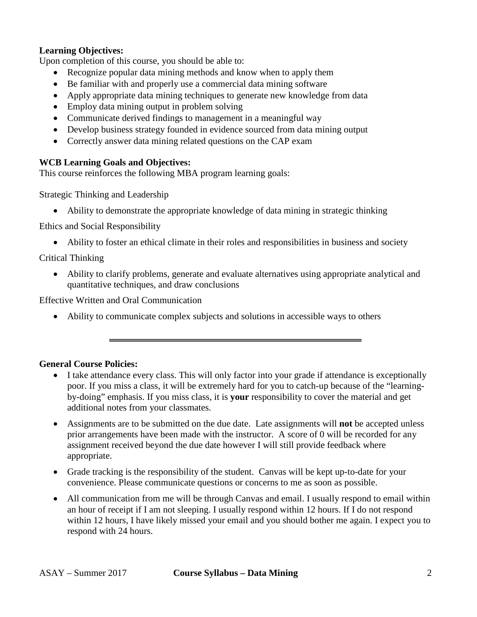## **Learning Objectives:**

Upon completion of this course, you should be able to:

- Recognize popular data mining methods and know when to apply them
- Be familiar with and properly use a commercial data mining software
- Apply appropriate data mining techniques to generate new knowledge from data
- Employ data mining output in problem solving
- Communicate derived findings to management in a meaningful way
- Develop business strategy founded in evidence sourced from data mining output
- Correctly answer data mining related questions on the CAP exam

## **WCB Learning Goals and Objectives:**

This course reinforces the following MBA program learning goals:

Strategic Thinking and Leadership

• Ability to demonstrate the appropriate knowledge of data mining in strategic thinking

Ethics and Social Responsibility

• Ability to foster an ethical climate in their roles and responsibilities in business and society

## Critical Thinking

• Ability to clarify problems, generate and evaluate alternatives using appropriate analytical and quantitative techniques, and draw conclusions

Effective Written and Oral Communication

• Ability to communicate complex subjects and solutions in accessible ways to others

## **General Course Policies:**

- I take attendance every class. This will only factor into your grade if attendance is exceptionally poor. If you miss a class, it will be extremely hard for you to catch-up because of the "learningby-doing" emphasis. If you miss class, it is **your** responsibility to cover the material and get additional notes from your classmates.
- Assignments are to be submitted on the due date. Late assignments will **not** be accepted unless prior arrangements have been made with the instructor. A score of 0 will be recorded for any assignment received beyond the due date however I will still provide feedback where appropriate.
- Grade tracking is the responsibility of the student. Canvas will be kept up-to-date for your convenience. Please communicate questions or concerns to me as soon as possible.
- All communication from me will be through Canvas and email. I usually respond to email within an hour of receipt if I am not sleeping. I usually respond within 12 hours. If I do not respond within 12 hours, I have likely missed your email and you should bother me again. I expect you to respond with 24 hours.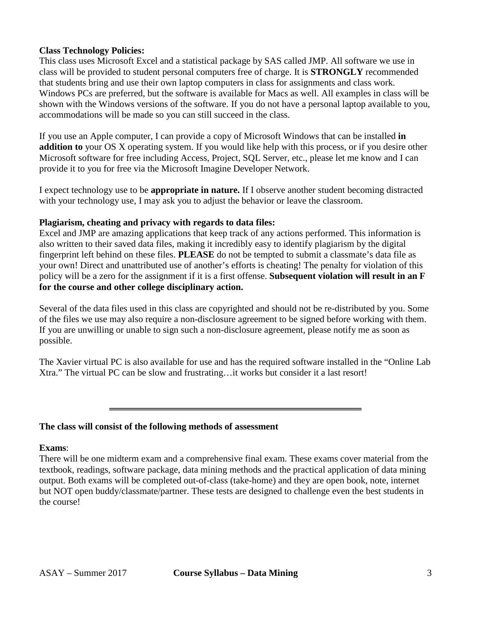### **Class Technology Policies:**

This class uses Microsoft Excel and a statistical package by SAS called JMP. All software we use in class will be provided to student personal computers free of charge. It is **STRONGLY** recommended that students bring and use their own laptop computers in class for assignments and class work. Windows PCs are preferred, but the software is available for Macs as well. All examples in class will be shown with the Windows versions of the software. If you do not have a personal laptop available to you, accommodations will be made so you can still succeed in the class.

If you use an Apple computer, I can provide a copy of Microsoft Windows that can be installed **in addition to** your OS X operating system. If you would like help with this process, or if you desire other Microsoft software for free including Access, Project, SQL Server, etc., please let me know and I can provide it to you for free via the Microsoft Imagine Developer Network.

I expect technology use to be **appropriate in nature.** If I observe another student becoming distracted with your technology use, I may ask you to adjust the behavior or leave the classroom.

## **Plagiarism, cheating and privacy with regards to data files:**

Excel and JMP are amazing applications that keep track of any actions performed. This information is also written to their saved data files, making it incredibly easy to identify plagiarism by the digital fingerprint left behind on these files. **PLEASE** do not be tempted to submit a classmate's data file as your own! Direct and unattributed use of another's efforts is cheating! The penalty for violation of this policy will be a zero for the assignment if it is a first offense. **Subsequent violation will result in an F for the course and other college disciplinary action.**

Several of the data files used in this class are copyrighted and should not be re-distributed by you. Some of the files we use may also require a non-disclosure agreement to be signed before working with them. If you are unwilling or unable to sign such a non-disclosure agreement, please notify me as soon as possible.

The Xavier virtual PC is also available for use and has the required software installed in the "Online Lab Xtra." The virtual PC can be slow and frustrating…it works but consider it a last resort!

#### **The class will consist of the following methods of assessment**

#### **Exams**:

There will be one midterm exam and a comprehensive final exam. These exams cover material from the textbook, readings, software package, data mining methods and the practical application of data mining output. Both exams will be completed out-of-class (take-home) and they are open book, note, internet but NOT open buddy/classmate/partner. These tests are designed to challenge even the best students in the course!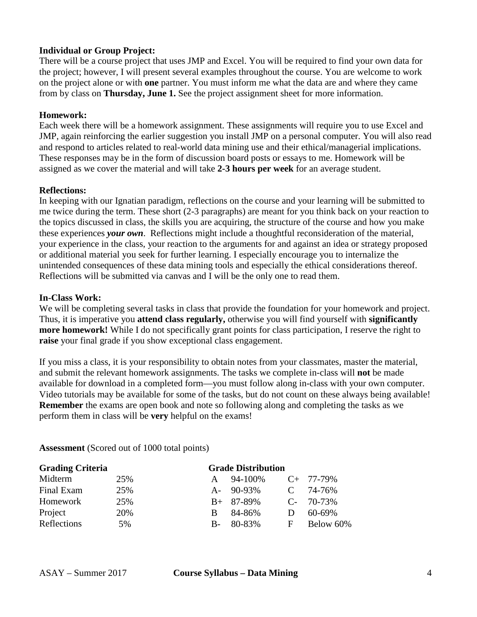## **Individual or Group Project:**

There will be a course project that uses JMP and Excel. You will be required to find your own data for the project; however, I will present several examples throughout the course. You are welcome to work on the project alone or with **one** partner. You must inform me what the data are and where they came from by class on **Thursday, June 1.** See the project assignment sheet for more information.

### **Homework:**

Each week there will be a homework assignment. These assignments will require you to use Excel and JMP, again reinforcing the earlier suggestion you install JMP on a personal computer. You will also read and respond to articles related to real-world data mining use and their ethical/managerial implications. These responses may be in the form of discussion board posts or essays to me. Homework will be assigned as we cover the material and will take **2-3 hours per week** for an average student.

#### **Reflections:**

In keeping with our Ignatian paradigm, reflections on the course and your learning will be submitted to me twice during the term. These short (2-3 paragraphs) are meant for you think back on your reaction to the topics discussed in class, the skills you are acquiring, the structure of the course and how you make these experiences *your own*. Reflections might include a thoughtful reconsideration of the material, your experience in the class, your reaction to the arguments for and against an idea or strategy proposed or additional material you seek for further learning. I especially encourage you to internalize the unintended consequences of these data mining tools and especially the ethical considerations thereof. Reflections will be submitted via canvas and I will be the only one to read them.

#### **In-Class Work:**

We will be completing several tasks in class that provide the foundation for your homework and project. Thus, it is imperative you **attend class regularly,** otherwise you will find yourself with **significantly more homework!** While I do not specifically grant points for class participation, I reserve the right to **raise** your final grade if you show exceptional class engagement.

If you miss a class, it is your responsibility to obtain notes from your classmates, master the material, and submit the relevant homework assignments. The tasks we complete in-class will **not** be made available for download in a completed form—you must follow along in-class with your own computer. Video tutorials may be available for some of the tasks, but do not count on these always being available! **Remember** the exams are open book and note so following along and completing the tasks as we perform them in class will be **very** helpful on the exams!

**Assessment** (Scored out of 1000 total points)

| <b>Grading Criteria</b> | <b>Grade Distribution</b> |              |                 |               |                |
|-------------------------|---------------------------|--------------|-----------------|---------------|----------------|
| Midterm                 | 25%                       | A            | 94-100%         |               | $C_{+}$ 77-79% |
| Final Exam              | 25%                       |              | $A - 90 - 93\%$ | $\mathcal{C}$ | 74-76%         |
| Homework                | 25%                       |              | $B+ 87-89\%$    |               | $C - 70-73\%$  |
| Project                 | 20%                       | <sub>B</sub> | 84-86%          | D             | 60-69%         |
| Reflections             | 5%                        | $B -$        | 80-83%          | F             | Below 60%      |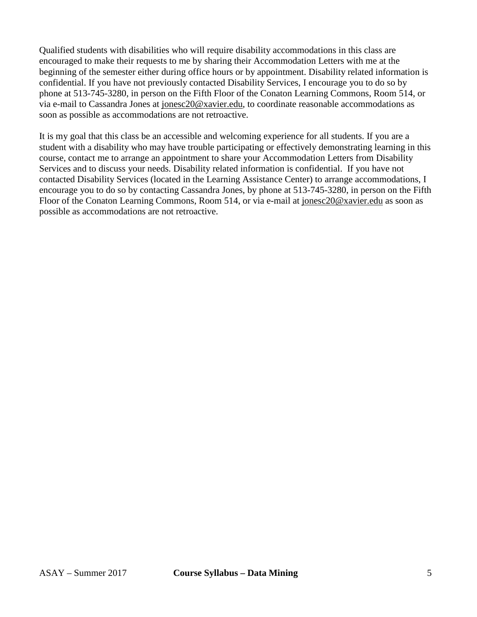Qualified students with disabilities who will require disability accommodations in this class are encouraged to make their requests to me by sharing their Accommodation Letters with me at the beginning of the semester either during office hours or by appointment. Disability related information is confidential. If you have not previously contacted Disability Services, I encourage you to do so by phone at 513-745-3280, in person on the Fifth Floor of the Conaton Learning Commons, Room 514, or via e-mail to Cassandra Jones at [jonesc20@xavier.edu,](mailto:jonesc20@xavier.edu) to coordinate reasonable accommodations as soon as possible as accommodations are not retroactive.

It is my goal that this class be an accessible and welcoming experience for all students. If you are a student with a disability who may have trouble participating or effectively demonstrating learning in this course, contact me to arrange an appointment to share your Accommodation Letters from Disability Services and to discuss your needs. Disability related information is confidential. If you have not contacted Disability Services (located in the Learning Assistance Center) to arrange accommodations, I encourage you to do so by contacting Cassandra Jones, by phone at 513-745-3280, in person on the Fifth Floor of the Conaton Learning Commons, Room 514, or via e-mail at [jonesc20@xavier.edu](mailto:jonesc20@xavier.edu) as soon as possible as accommodations are not retroactive.